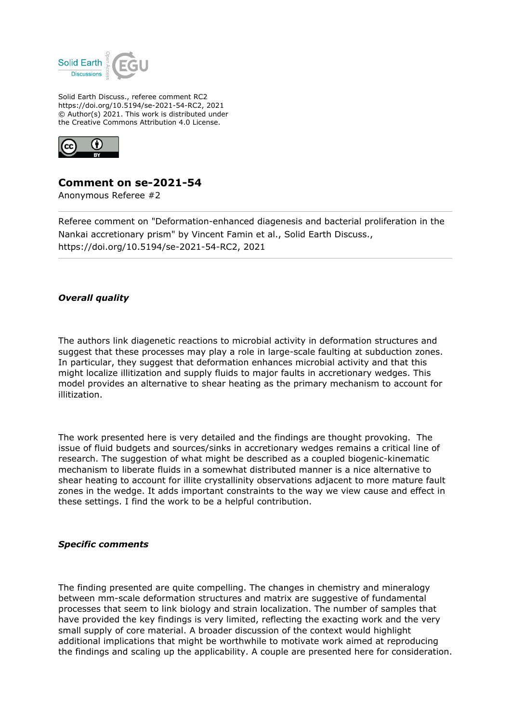

Solid Earth Discuss., referee comment RC2 https://doi.org/10.5194/se-2021-54-RC2, 2021 © Author(s) 2021. This work is distributed under the Creative Commons Attribution 4.0 License.



## **Comment on se-2021-54**

Anonymous Referee #2

Referee comment on "Deformation-enhanced diagenesis and bacterial proliferation in the Nankai accretionary prism" by Vincent Famin et al., Solid Earth Discuss., https://doi.org/10.5194/se-2021-54-RC2, 2021

## *Overall quality*

The authors link diagenetic reactions to microbial activity in deformation structures and suggest that these processes may play a role in large-scale faulting at subduction zones. In particular, they suggest that deformation enhances microbial activity and that this might localize illitization and supply fluids to major faults in accretionary wedges. This model provides an alternative to shear heating as the primary mechanism to account for illitization.

The work presented here is very detailed and the findings are thought provoking. The issue of fluid budgets and sources/sinks in accretionary wedges remains a critical line of research. The suggestion of what might be described as a coupled biogenic-kinematic mechanism to liberate fluids in a somewhat distributed manner is a nice alternative to shear heating to account for illite crystallinity observations adjacent to more mature fault zones in the wedge. It adds important constraints to the way we view cause and effect in these settings. I find the work to be a helpful contribution.

## *Specific comments*

The finding presented are quite compelling. The changes in chemistry and mineralogy between mm-scale deformation structures and matrix are suggestive of fundamental processes that seem to link biology and strain localization. The number of samples that have provided the key findings is very limited, reflecting the exacting work and the very small supply of core material. A broader discussion of the context would highlight additional implications that might be worthwhile to motivate work aimed at reproducing the findings and scaling up the applicability. A couple are presented here for consideration.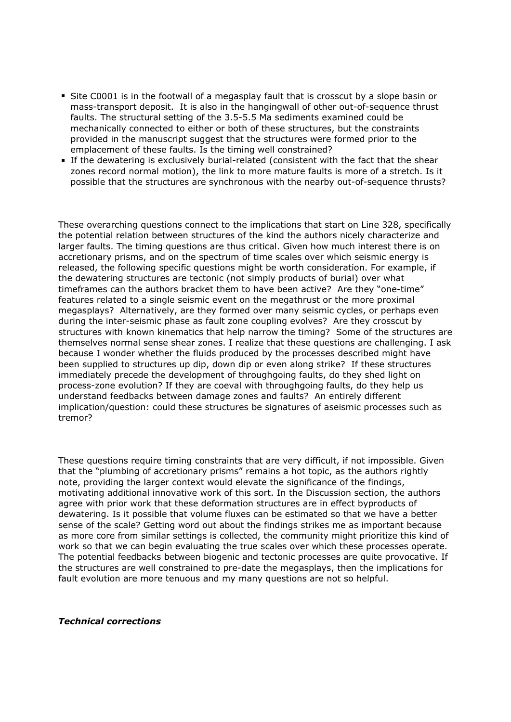- Site C0001 is in the footwall of a megasplay fault that is crosscut by a slope basin or mass-transport deposit. It is also in the hangingwall of other out-of-sequence thrust faults. The structural setting of the 3.5-5.5 Ma sediments examined could be mechanically connected to either or both of these structures, but the constraints provided in the manuscript suggest that the structures were formed prior to the emplacement of these faults. Is the timing well constrained?
- If the dewatering is exclusively burial-related (consistent with the fact that the shear zones record normal motion), the link to more mature faults is more of a stretch. Is it possible that the structures are synchronous with the nearby out-of-sequence thrusts?

These overarching questions connect to the implications that start on Line 328, specifically the potential relation between structures of the kind the authors nicely characterize and larger faults. The timing questions are thus critical. Given how much interest there is on accretionary prisms, and on the spectrum of time scales over which seismic energy is released, the following specific questions might be worth consideration. For example, if the dewatering structures are tectonic (not simply products of burial) over what timeframes can the authors bracket them to have been active? Are they "one-time" features related to a single seismic event on the megathrust or the more proximal megasplays? Alternatively, are they formed over many seismic cycles, or perhaps even during the inter-seismic phase as fault zone coupling evolves? Are they crosscut by structures with known kinematics that help narrow the timing? Some of the structures are themselves normal sense shear zones. I realize that these questions are challenging. I ask because I wonder whether the fluids produced by the processes described might have been supplied to structures up dip, down dip or even along strike? If these structures immediately precede the development of throughgoing faults, do they shed light on process-zone evolution? If they are coeval with throughgoing faults, do they help us understand feedbacks between damage zones and faults? An entirely different implication/question: could these structures be signatures of aseismic processes such as tremor?

These questions require timing constraints that are very difficult, if not impossible. Given that the "plumbing of accretionary prisms" remains a hot topic, as the authors rightly note, providing the larger context would elevate the significance of the findings, motivating additional innovative work of this sort. In the Discussion section, the authors agree with prior work that these deformation structures are in effect byproducts of dewatering. Is it possible that volume fluxes can be estimated so that we have a better sense of the scale? Getting word out about the findings strikes me as important because as more core from similar settings is collected, the community might prioritize this kind of work so that we can begin evaluating the true scales over which these processes operate. The potential feedbacks between biogenic and tectonic processes are quite provocative. If the structures are well constrained to pre-date the megasplays, then the implications for fault evolution are more tenuous and my many questions are not so helpful.

## *Technical corrections*